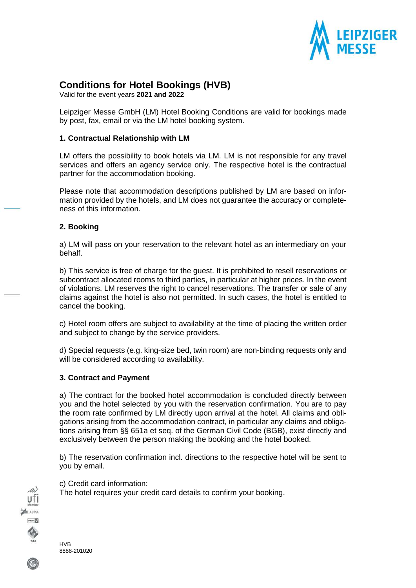

# **Conditions for Hotel Bookings (HVB)**

Valid for the event years **2021 and 2022**

Leipziger Messe GmbH (LM) Hotel Booking Conditions are valid for bookings made by post, fax, email or via the LM hotel booking system.

#### **1. Contractual Relationship with LM**

LM offers the possibility to book hotels via LM. LM is not responsible for any travel services and offers an agency service only. The respective hotel is the contractual partner for the accommodation booking.

Please note that accommodation descriptions published by LM are based on information provided by the hotels, and LM does not guarantee the accuracy or completeness of this information.

#### **2. Booking**

a) LM will pass on your reservation to the relevant hotel as an intermediary on your behalf.

b) This service is free of charge for the guest. It is prohibited to resell reservations or subcontract allocated rooms to third parties, in particular at higher prices. In the event of violations, LM reserves the right to cancel reservations. The transfer or sale of any claims against the hotel is also not permitted. In such cases, the hotel is entitled to cancel the booking.

c) Hotel room offers are subject to availability at the time of placing the written order and subject to change by the service providers.

d) Special requests (e.g. king-size bed, twin room) are non-binding requests only and will be considered according to availability.

#### **3. Contract and Payment**

a) The contract for the booked hotel accommodation is concluded directly between you and the hotel selected by you with the reservation confirmation. You are to pay the room rate confirmed by LM directly upon arrival at the hotel. All claims and obligations arising from the accommodation contract, in particular any claims and obligations arising from §§ 651a et seq. of the German Civil Code (BGB), exist directly and exclusively between the person making the booking and the hotel booked.

b) The reservation confirmation incl. directions to the respective hotel will be sent to you by email.

c) Credit card information:

The hotel requires your credit card details to confirm your booking.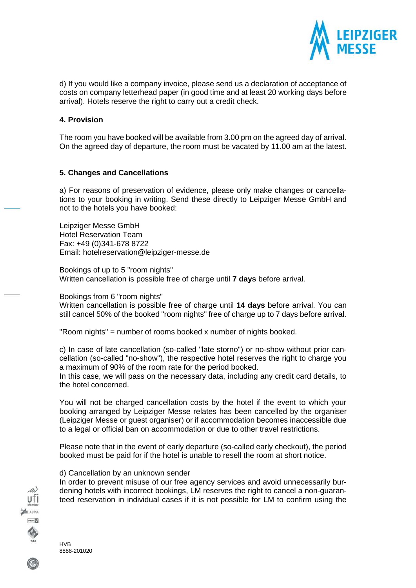

d) If you would like a company invoice, please send us a declaration of acceptance of costs on company letterhead paper (in good time and at least 20 working days before arrival). Hotels reserve the right to carry out a credit check.

#### **4. Provision**

The room you have booked will be available from 3.00 pm on the agreed day of arrival. On the agreed day of departure, the room must be vacated by 11.00 am at the latest.

#### **5. Changes and Cancellations**

a) For reasons of preservation of evidence, please only make changes or cancellations to your booking in writing. Send these directly to Leipziger Messe GmbH and not to the hotels you have booked:

Leipziger Messe GmbH Hotel Reservation Team Fax: +49 (0)341-678 8722 Email: [hotelreservation@leipziger-messe.de](mailto:hotelreservation@leipziger-messe.de)

Bookings of up to 5 "room nights" Written cancellation is possible free of charge until **7 days** before arrival.

Bookings from 6 "room nights"

Written cancellation is possible free of charge until **14 days** before arrival. You can still cancel 50% of the booked "room nights" free of charge up to 7 days before arrival.

"Room nights" = number of rooms booked x number of nights booked.

c) In case of late cancellation (so-called "late storno") or no-show without prior cancellation (so-called "no-show"), the respective hotel reserves the right to charge you a maximum of 90% of the room rate for the period booked.

In this case, we will pass on the necessary data, including any credit card details, to the hotel concerned.

You will not be charged cancellation costs by the hotel if the event to which your booking arranged by Leipziger Messe relates has been cancelled by the organiser (Leipziger Messe or guest organiser) or if accommodation becomes inaccessible due to a legal or official ban on accommodation or due to other travel restrictions.

Please note that in the event of early departure (so-called early checkout), the period booked must be paid for if the hotel is unable to resell the room at short notice.

### d) Cancellation by an unknown sender

In order to prevent misuse of our free agency services and avoid unnecessarily burdening hotels with incorrect bookings, LM reserves the right to cancel a non-guaranteed reservation in individual cases if it is not possible for LM to confirm using the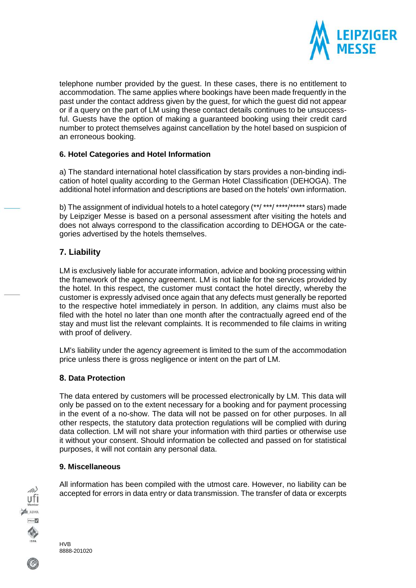

telephone number provided by the guest. In these cases, there is no entitlement to accommodation. The same applies where bookings have been made frequently in the past under the contact address given by the guest, for which the guest did not appear or if a query on the part of LM using these contact details continues to be unsuccessful. Guests have the option of making a guaranteed booking using their credit card number to protect themselves against cancellation by the hotel based on suspicion of an erroneous booking.

## **6. Hotel Categories and Hotel Information**

a) The standard international hotel classification by stars provides a non-binding indication of hotel quality according to the German Hotel Classification (DEHOGA). The additional hotel information and descriptions are based on the hotels' own information.

b) The assignment of individual hotels to a hotel category (\*\*/ \*\*\*/ \*\*\*\*/\*\*\*\*\* stars) made by Leipziger Messe is based on a personal assessment after visiting the hotels and does not always correspond to the classification according to DEHOGA or the categories advertised by the hotels themselves.

## **7. Liability**

LM is exclusively liable for accurate information, advice and booking processing within the framework of the agency agreement. LM is not liable for the services provided by the hotel. In this respect, the customer must contact the hotel directly, whereby the customer is expressly advised once again that any defects must generally be reported to the respective hotel immediately in person. In addition, any claims must also be filed with the hotel no later than one month after the contractually agreed end of the stay and must list the relevant complaints. It is recommended to file claims in writing with proof of delivery.

LM's liability under the agency agreement is limited to the sum of the accommodation price unless there is gross negligence or intent on the part of LM.

## **8. Data Protection**

The data entered by customers will be processed electronically by LM. This data will only be passed on to the extent necessary for a booking and for payment processing in the event of a no-show. The data will not be passed on for other purposes. In all other respects, the statutory data protection regulations will be complied with during data collection. LM will not share your information with third parties or otherwise use it without your consent. Should information be collected and passed on for statistical purposes, it will not contain any personal data.

### **9. Miscellaneous**

All information has been compiled with the utmost care. However, no liability can be accepted for errors in data entry or data transmission. The transfer of data or excerpts